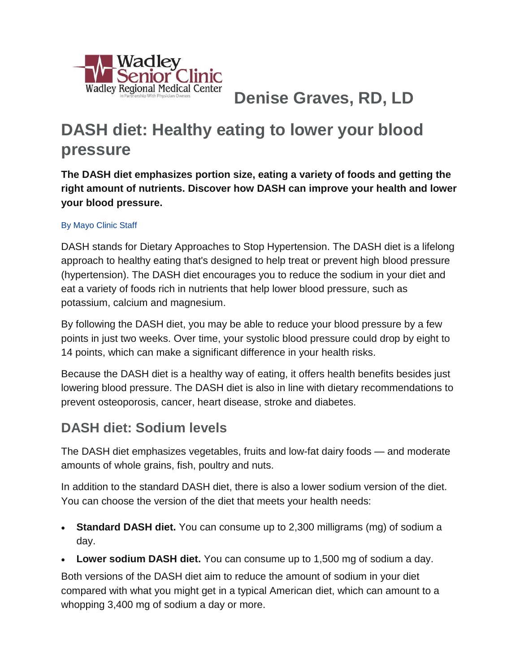

**Denise Graves, RD, LD**

# **DASH diet: Healthy eating to lower your blood pressure**

**The DASH diet emphasizes portion size, eating a variety of foods and getting the right amount of nutrients. Discover how DASH can improve your health and lower your blood pressure.**

#### [By Mayo Clinic Staff](http://www.mayoclinic.org/about-this-site/welcome)

DASH stands for Dietary Approaches to Stop Hypertension. The DASH diet is a lifelong approach to healthy eating that's designed to help treat or prevent high blood pressure (hypertension). The DASH diet encourages you to reduce the sodium in your diet and eat a variety of foods rich in nutrients that help lower blood pressure, such as potassium, calcium and magnesium.

By following the DASH diet, you may be able to reduce your blood pressure by a few points in just two weeks. Over time, your systolic blood pressure could drop by eight to 14 points, which can make a significant difference in your health risks.

Because the DASH diet is a healthy way of eating, it offers health benefits besides just lowering blood pressure. The DASH diet is also in line with dietary recommendations to prevent osteoporosis, cancer, heart disease, stroke and diabetes.

### **DASH diet: Sodium levels**

The DASH diet emphasizes vegetables, fruits and low-fat dairy foods — and moderate amounts of whole grains, fish, poultry and nuts.

In addition to the standard DASH diet, there is also a lower sodium version of the diet. You can choose the version of the diet that meets your health needs:

- **Standard DASH diet.** You can consume up to 2,300 milligrams (mg) of sodium a day.
- **Lower sodium DASH diet.** You can consume up to 1,500 mg of sodium a day.

Both versions of the DASH diet aim to reduce the amount of sodium in your diet compared with what you might get in a typical American diet, which can amount to a whopping 3,400 mg of sodium a day or more.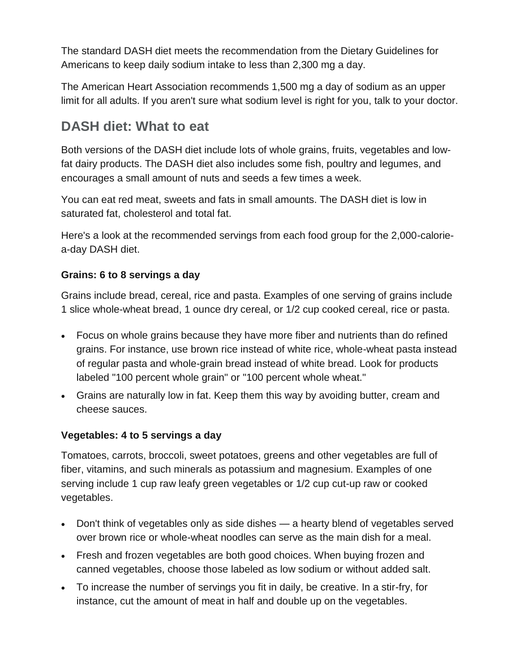The standard DASH diet meets the recommendation from the Dietary Guidelines for Americans to keep daily sodium intake to less than 2,300 mg a day.

The American Heart Association recommends 1,500 mg a day of sodium as an upper limit for all adults. If you aren't sure what sodium level is right for you, talk to your doctor.

### **DASH diet: What to eat**

Both versions of the DASH diet include lots of whole grains, fruits, vegetables and lowfat dairy products. The DASH diet also includes some fish, poultry and legumes, and encourages a small amount of nuts and seeds a few times a week.

You can eat red meat, sweets and fats in small amounts. The DASH diet is low in saturated fat, cholesterol and total fat.

Here's a look at the recommended servings from each food group for the 2,000-caloriea-day DASH diet.

#### **Grains: 6 to 8 servings a day**

Grains include bread, cereal, rice and pasta. Examples of one serving of grains include 1 slice whole-wheat bread, 1 ounce dry cereal, or 1/2 cup cooked cereal, rice or pasta.

- Focus on whole grains because they have more fiber and nutrients than do refined grains. For instance, use brown rice instead of white rice, whole-wheat pasta instead of regular pasta and whole-grain bread instead of white bread. Look for products labeled "100 percent whole grain" or "100 percent whole wheat."
- Grains are naturally low in fat. Keep them this way by avoiding butter, cream and cheese sauces.

#### **Vegetables: 4 to 5 servings a day**

Tomatoes, carrots, broccoli, sweet potatoes, greens and other vegetables are full of fiber, vitamins, and such minerals as potassium and magnesium. Examples of one serving include 1 cup raw leafy green vegetables or 1/2 cup cut-up raw or cooked vegetables.

- Don't think of vegetables only as side dishes a hearty blend of vegetables served over brown rice or whole-wheat noodles can serve as the main dish for a meal.
- Fresh and frozen vegetables are both good choices. When buying frozen and canned vegetables, choose those labeled as low sodium or without added salt.
- To increase the number of servings you fit in daily, be creative. In a stir-fry, for instance, cut the amount of meat in half and double up on the vegetables.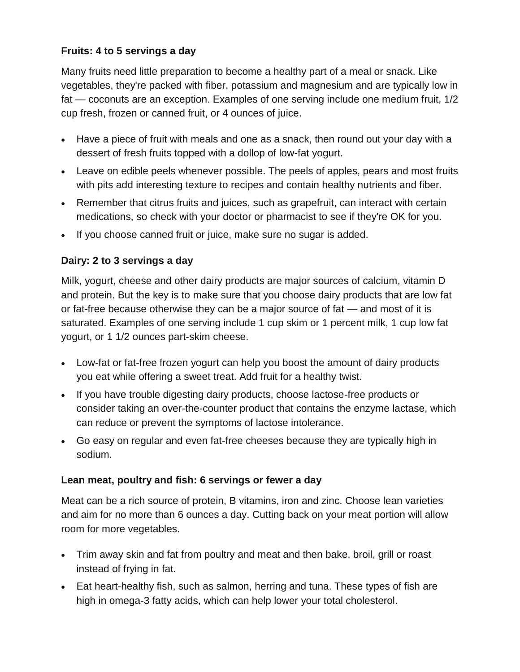#### **Fruits: 4 to 5 servings a day**

Many fruits need little preparation to become a healthy part of a meal or snack. Like vegetables, they're packed with fiber, potassium and magnesium and are typically low in fat — coconuts are an exception. Examples of one serving include one medium fruit, 1/2 cup fresh, frozen or canned fruit, or 4 ounces of juice.

- Have a piece of fruit with meals and one as a snack, then round out your day with a dessert of fresh fruits topped with a dollop of low-fat yogurt.
- Leave on edible peels whenever possible. The peels of apples, pears and most fruits with pits add interesting texture to recipes and contain healthy nutrients and fiber.
- Remember that citrus fruits and juices, such as grapefruit, can interact with certain medications, so check with your doctor or pharmacist to see if they're OK for you.
- If you choose canned fruit or juice, make sure no sugar is added.

#### **Dairy: 2 to 3 servings a day**

Milk, yogurt, cheese and other dairy products are major sources of calcium, vitamin D and protein. But the key is to make sure that you choose dairy products that are low fat or fat-free because otherwise they can be a major source of fat — and most of it is saturated. Examples of one serving include 1 cup skim or 1 percent milk, 1 cup low fat yogurt, or 1 1/2 ounces part-skim cheese.

- Low-fat or fat-free frozen yogurt can help you boost the amount of dairy products you eat while offering a sweet treat. Add fruit for a healthy twist.
- If you have trouble digesting dairy products, choose lactose-free products or consider taking an over-the-counter product that contains the enzyme lactase, which can reduce or prevent the symptoms of lactose intolerance.
- Go easy on regular and even fat-free cheeses because they are typically high in sodium.

#### **Lean meat, poultry and fish: 6 servings or fewer a day**

Meat can be a rich source of protein, B vitamins, iron and zinc. Choose lean varieties and aim for no more than 6 ounces a day. Cutting back on your meat portion will allow room for more vegetables.

- Trim away skin and fat from poultry and meat and then bake, broil, grill or roast instead of frying in fat.
- Eat heart-healthy fish, such as salmon, herring and tuna. These types of fish are high in omega-3 fatty acids, which can help lower your total cholesterol.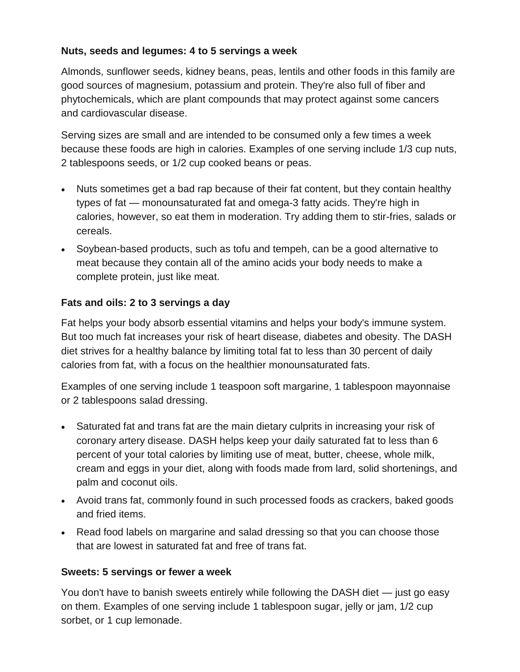#### **Nuts, seeds and legumes: 4 to 5 servings a week**

Almonds, sunflower seeds, kidney beans, peas, lentils and other foods in this family are good sources of magnesium, potassium and protein. They're also full of fiber and phytochemicals, which are plant compounds that may protect against some cancers and cardiovascular disease.

Serving sizes are small and are intended to be consumed only a few times a week because these foods are high in calories. Examples of one serving include 1/3 cup nuts, 2 tablespoons seeds, or 1/2 cup cooked beans or peas.

- Nuts sometimes get a bad rap because of their fat content, but they contain healthy types of fat — monounsaturated fat and omega-3 fatty acids. They're high in calories, however, so eat them in moderation. Try adding them to stir-fries, salads or cereals.
- Soybean-based products, such as tofu and tempeh, can be a good alternative to meat because they contain all of the amino acids your body needs to make a complete protein, just like meat.

#### **Fats and oils: 2 to 3 servings a day**

Fat helps your body absorb essential vitamins and helps your body's immune system. But too much fat increases your risk of heart disease, diabetes and obesity. The DASH diet strives for a healthy balance by limiting total fat to less than 30 percent of daily calories from fat, with a focus on the healthier monounsaturated fats.

Examples of one serving include 1 teaspoon soft margarine, 1 tablespoon mayonnaise or 2 tablespoons salad dressing.

- Saturated fat and trans fat are the main dietary culprits in increasing your risk of coronary artery disease. DASH helps keep your daily saturated fat to less than 6 percent of your total calories by limiting use of meat, butter, cheese, whole milk, cream and eggs in your diet, along with foods made from lard, solid shortenings, and palm and coconut oils.
- Avoid trans fat, commonly found in such processed foods as crackers, baked goods and fried items.
- Read food labels on margarine and salad dressing so that you can choose those that are lowest in saturated fat and free of trans fat.

#### **Sweets: 5 servings or fewer a week**

You don't have to banish sweets entirely while following the DASH diet — just go easy on them. Examples of one serving include 1 tablespoon sugar, jelly or jam, 1/2 cup sorbet, or 1 cup lemonade.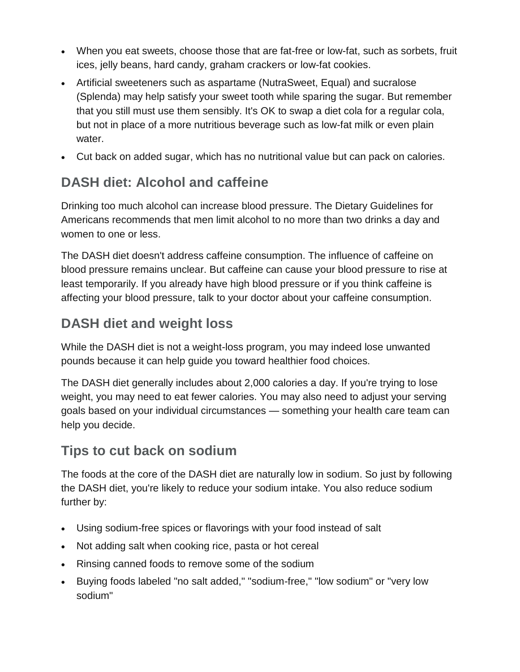- When you eat sweets, choose those that are fat-free or low-fat, such as sorbets, fruit ices, jelly beans, hard candy, graham crackers or low-fat cookies.
- Artificial sweeteners such as aspartame (NutraSweet, Equal) and sucralose (Splenda) may help satisfy your sweet tooth while sparing the sugar. But remember that you still must use them sensibly. It's OK to swap a diet cola for a regular cola, but not in place of a more nutritious beverage such as low-fat milk or even plain water.
- Cut back on added sugar, which has no nutritional value but can pack on calories.

## **DASH diet: Alcohol and caffeine**

Drinking too much alcohol can increase blood pressure. The Dietary Guidelines for Americans recommends that men limit alcohol to no more than two drinks a day and women to one or less.

The DASH diet doesn't address caffeine consumption. The influence of caffeine on blood pressure remains unclear. But caffeine can cause your blood pressure to rise at least temporarily. If you already have high blood pressure or if you think caffeine is affecting your blood pressure, talk to your doctor about your caffeine consumption.

### **DASH diet and weight loss**

While the DASH diet is not a weight-loss program, you may indeed lose unwanted pounds because it can help guide you toward healthier food choices.

The DASH diet generally includes about 2,000 calories a day. If you're trying to lose weight, you may need to eat fewer calories. You may also need to adjust your serving goals based on your individual circumstances — something your health care team can help you decide.

### **Tips to cut back on sodium**

The foods at the core of the DASH diet are naturally low in sodium. So just by following the DASH diet, you're likely to reduce your sodium intake. You also reduce sodium further by:

- Using sodium-free spices or flavorings with your food instead of salt
- Not adding salt when cooking rice, pasta or hot cereal
- Rinsing canned foods to remove some of the sodium
- Buying foods labeled "no salt added," "sodium-free," "low sodium" or "very low sodium"